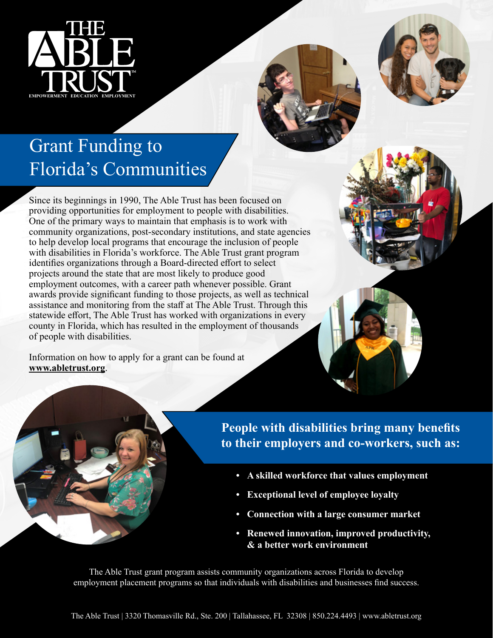

## Grant Funding to Florida's Communities

Since its beginnings in 1990, The Able Trust has been focused on providing opportunities for employment to people with disabilities. One of the primary ways to maintain that emphasis is to work with community organizations, post-secondary institutions, and state agencies to help develop local programs that encourage the inclusion of people with disabilities in Florida's workforce. The Able Trust grant program identifies organizations through a Board-directed effort to select projects around the state that are most likely to produce good employment outcomes, with a career path whenever possible. Grant awards provide significant funding to those projects, as well as technical assistance and monitoring from the staff at The Able Trust. Through this statewide effort, The Able Trust has worked with organizations in every county in Florida, which has resulted in the employment of thousands of people with disabilities.

Information on how to apply for a grant can be found at **www.abletrust.org**.





**People with disabilities bring many benefits to their employers and co-workers, such as:**

- **• A skilled workforce that values employment**
- **• Exceptional level of employee loyalty**
- **• Connection with a large consumer market**
- **• Renewed innovation, improved productivity, & a better work environment**

The Able Trust grant program assists community organizations across Florida to develop employment placement programs so that individuals with disabilities and businesses find success.